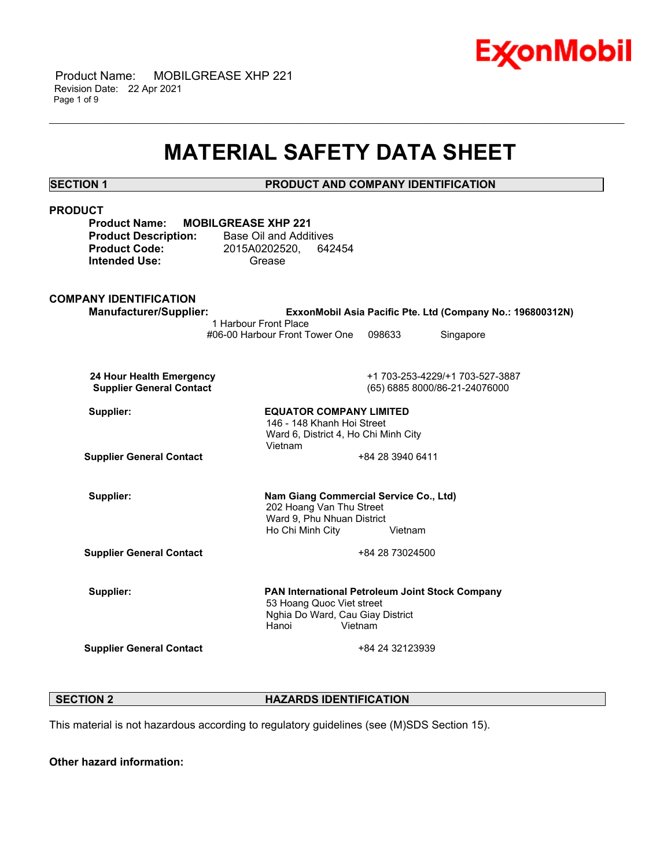

 Product Name: MOBILGREASE XHP 221 Revision Date: 22 Apr 2021 Page 1 of 9

## **MATERIAL SAFETY DATA SHEET**

\_\_\_\_\_\_\_\_\_\_\_\_\_\_\_\_\_\_\_\_\_\_\_\_\_\_\_\_\_\_\_\_\_\_\_\_\_\_\_\_\_\_\_\_\_\_\_\_\_\_\_\_\_\_\_\_\_\_\_\_\_\_\_\_\_\_\_\_\_\_\_\_\_\_\_\_\_\_\_\_\_\_\_\_\_\_\_\_\_\_\_\_\_\_\_\_\_\_\_\_\_\_\_\_\_\_\_\_\_\_\_\_\_\_\_\_\_\_

**SECTION 1 PRODUCT AND COMPANY IDENTIFICATION**

| <b>PRODUCT</b><br><b>Product Name:</b><br><b>MOBILGREASE XHP 221</b><br><b>Product Description:</b><br><b>Product Code:</b><br><b>Intended Use:</b> | <b>Base Oil and Additives</b><br>2015A0202520,<br>642454<br>Grease                                                                   |                  |                                                                  |
|-----------------------------------------------------------------------------------------------------------------------------------------------------|--------------------------------------------------------------------------------------------------------------------------------------|------------------|------------------------------------------------------------------|
| <b>COMPANY IDENTIFICATION</b><br><b>Manufacturer/Supplier:</b>                                                                                      |                                                                                                                                      |                  | ExxonMobil Asia Pacific Pte. Ltd (Company No.: 196800312N)       |
|                                                                                                                                                     | 1 Harbour Front Place<br>#06-00 Harbour Front Tower One                                                                              | 098633           | Singapore                                                        |
| 24 Hour Health Emergency<br><b>Supplier General Contact</b>                                                                                         |                                                                                                                                      |                  | +1 703-253-4229/+1 703-527-3887<br>(65) 6885 8000/86-21-24076000 |
| Supplier:                                                                                                                                           | <b>EQUATOR COMPANY LIMITED</b><br>146 - 148 Khanh Hoi Street<br>Ward 6, District 4, Ho Chi Minh City<br>Vietnam                      |                  |                                                                  |
| <b>Supplier General Contact</b>                                                                                                                     |                                                                                                                                      | +84 28 3940 6411 |                                                                  |
| Supplier:                                                                                                                                           | Nam Giang Commercial Service Co., Ltd)<br>202 Hoang Van Thu Street<br>Ward 9, Phu Nhuan District<br>Ho Chi Minh City<br>Vietnam      |                  |                                                                  |
| <b>Supplier General Contact</b>                                                                                                                     |                                                                                                                                      | +84 28 73024500  |                                                                  |
| Supplier:                                                                                                                                           | PAN International Petroleum Joint Stock Company<br>53 Hoang Quoc Viet street<br>Nghia Do Ward, Cau Giay District<br>Hanoi<br>Vietnam |                  |                                                                  |
| <b>Supplier General Contact</b>                                                                                                                     |                                                                                                                                      | +84 24 32123939  |                                                                  |

**SECTION 2 HAZARDS IDENTIFICATION** 

This material is not hazardous according to regulatory guidelines (see (M)SDS Section 15).

**Other hazard information:**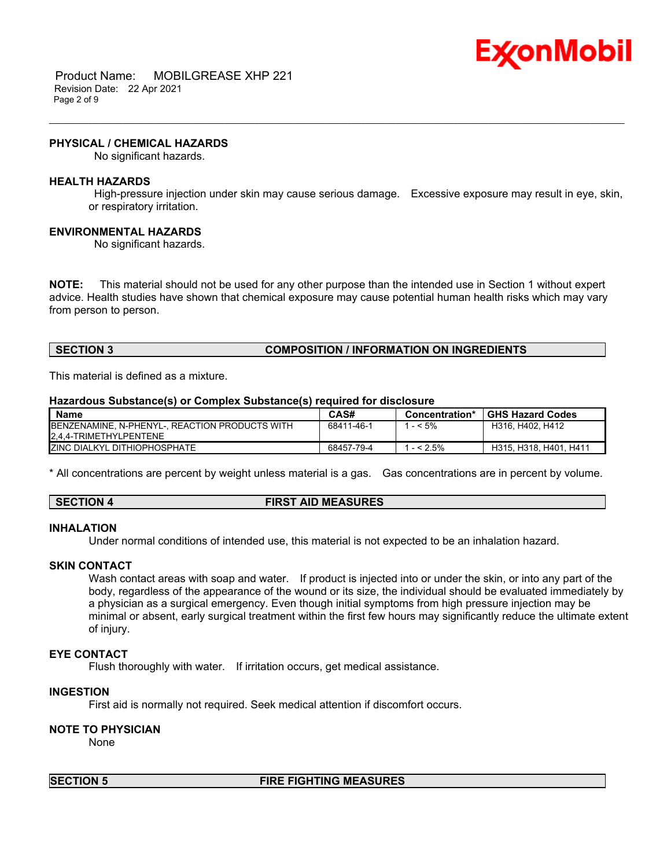

 Product Name: MOBILGREASE XHP 221 Revision Date: 22 Apr 2021 Page 2 of 9

#### **PHYSICAL / CHEMICAL HAZARDS**

No significant hazards.

#### **HEALTH HAZARDS**

 High-pressure injection under skin may cause serious damage. Excessive exposure may result in eye, skin, or respiratory irritation.

\_\_\_\_\_\_\_\_\_\_\_\_\_\_\_\_\_\_\_\_\_\_\_\_\_\_\_\_\_\_\_\_\_\_\_\_\_\_\_\_\_\_\_\_\_\_\_\_\_\_\_\_\_\_\_\_\_\_\_\_\_\_\_\_\_\_\_\_\_\_\_\_\_\_\_\_\_\_\_\_\_\_\_\_\_\_\_\_\_\_\_\_\_\_\_\_\_\_\_\_\_\_\_\_\_\_\_\_\_\_\_\_\_\_\_\_\_\_

#### **ENVIRONMENTAL HAZARDS**

No significant hazards.

**NOTE:** This material should not be used for any other purpose than the intended use in Section 1 without expert advice. Health studies have shown that chemical exposure may cause potential human health risks which may vary from person to person.

#### **SECTION 3 COMPOSITION / INFORMATION ON INGREDIENTS**

This material is defined as a mixture.

#### **Hazardous Substance(s) or Complex Substance(s) required for disclosure**

| <b>Name</b>                                            | CAS#       | Concentration* | <b>GHS Hazard Codes</b> |
|--------------------------------------------------------|------------|----------------|-------------------------|
| <b>IBENZENAMINE, N-PHENYL-, REACTION PRODUCTS WITH</b> | 68411-46-1 | $-5\%$         | H316, H402, H412        |
| 2.4.4-TRIMETHYLPENTENE                                 |            |                |                         |
| <b>IZINC DIALKYL DITHIOPHOSPHATE</b>                   | 68457-79-4 | $-52.5%$       | H315, H318, H401, H411  |

\* All concentrations are percent by weight unless material is a gas. Gas concentrations are in percent by volume.

#### **SECTION 4 FIRST AID MEASURES**

#### **INHALATION**

Under normal conditions of intended use, this material is not expected to be an inhalation hazard.

#### **SKIN CONTACT**

Wash contact areas with soap and water. If product is injected into or under the skin, or into any part of the body, regardless of the appearance of the wound or its size, the individual should be evaluated immediately by a physician as a surgical emergency. Even though initial symptoms from high pressure injection may be minimal or absent, early surgical treatment within the first few hours may significantly reduce the ultimate extent of injury.

#### **EYE CONTACT**

Flush thoroughly with water. If irritation occurs, get medical assistance.

#### **INGESTION**

First aid is normally not required. Seek medical attention if discomfort occurs.

### **NOTE TO PHYSICIAN**

None

#### **SECTION 5 FIRE FIGHTING MEASURES**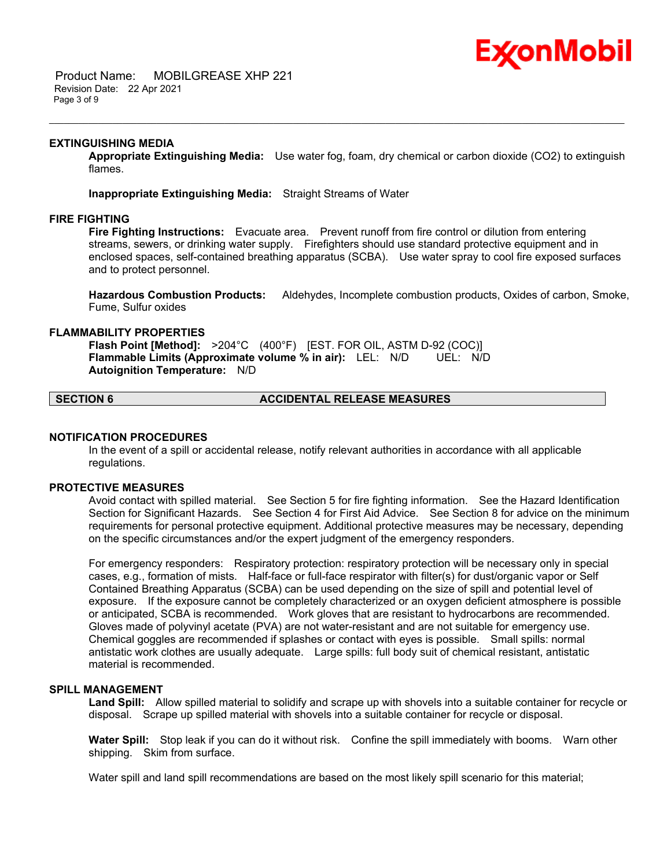# Ex⁄onMobil

 Product Name: MOBILGREASE XHP 221 Revision Date: 22 Apr 2021 Page 3 of 9

#### **EXTINGUISHING MEDIA**

**Appropriate Extinguishing Media:** Use water fog, foam, dry chemical or carbon dioxide (CO2) to extinguish flames.

\_\_\_\_\_\_\_\_\_\_\_\_\_\_\_\_\_\_\_\_\_\_\_\_\_\_\_\_\_\_\_\_\_\_\_\_\_\_\_\_\_\_\_\_\_\_\_\_\_\_\_\_\_\_\_\_\_\_\_\_\_\_\_\_\_\_\_\_\_\_\_\_\_\_\_\_\_\_\_\_\_\_\_\_\_\_\_\_\_\_\_\_\_\_\_\_\_\_\_\_\_\_\_\_\_\_\_\_\_\_\_\_\_\_\_\_\_\_

**Inappropriate Extinguishing Media:** Straight Streams of Water

#### **FIRE FIGHTING**

**Fire Fighting Instructions:** Evacuate area. Prevent runoff from fire control or dilution from entering streams, sewers, or drinking water supply. Firefighters should use standard protective equipment and in enclosed spaces, self-contained breathing apparatus (SCBA). Use water spray to cool fire exposed surfaces and to protect personnel.

**Hazardous Combustion Products:** Aldehydes, Incomplete combustion products, Oxides of carbon, Smoke, Fume, Sulfur oxides

#### **FLAMMABILITY PROPERTIES**

**Flash Point [Method]:** >204°C (400°F) [EST. FOR OIL, ASTM D-92 (COC)] **Flammable Limits (Approximate volume % in air):** LEL: N/D UEL: N/D **Autoignition Temperature:** N/D

### **SECTION 6 ACCIDENTAL RELEASE MEASURES**

#### **NOTIFICATION PROCEDURES**

In the event of a spill or accidental release, notify relevant authorities in accordance with all applicable regulations.

#### **PROTECTIVE MEASURES**

Avoid contact with spilled material. See Section 5 for fire fighting information. See the Hazard Identification Section for Significant Hazards. See Section 4 for First Aid Advice. See Section 8 for advice on the minimum requirements for personal protective equipment. Additional protective measures may be necessary, depending on the specific circumstances and/or the expert judgment of the emergency responders.

For emergency responders: Respiratory protection: respiratory protection will be necessary only in special cases, e.g., formation of mists. Half-face or full-face respirator with filter(s) for dust/organic vapor or Self Contained Breathing Apparatus (SCBA) can be used depending on the size of spill and potential level of exposure. If the exposure cannot be completely characterized or an oxygen deficient atmosphere is possible or anticipated, SCBA is recommended. Work gloves that are resistant to hydrocarbons are recommended. Gloves made of polyvinyl acetate (PVA) are not water-resistant and are not suitable for emergency use. Chemical goggles are recommended if splashes or contact with eyes is possible. Small spills: normal antistatic work clothes are usually adequate. Large spills: full body suit of chemical resistant, antistatic material is recommended.

#### **SPILL MANAGEMENT**

**Land Spill:** Allow spilled material to solidify and scrape up with shovels into a suitable container for recycle or disposal. Scrape up spilled material with shovels into a suitable container for recycle or disposal.

**Water Spill:** Stop leak if you can do it without risk. Confine the spill immediately with booms. Warn other shipping. Skim from surface.

Water spill and land spill recommendations are based on the most likely spill scenario for this material;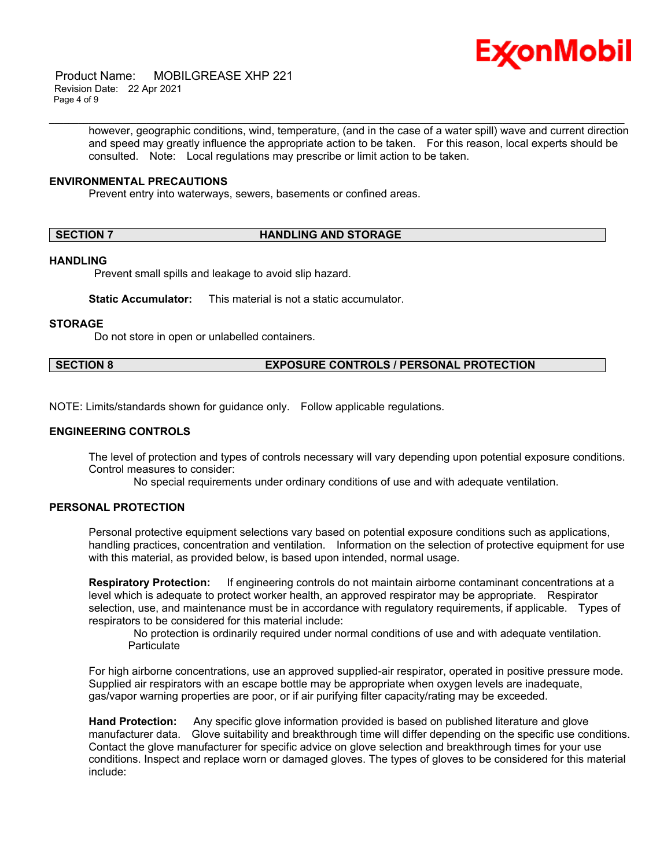

 Product Name: MOBILGREASE XHP 221 Revision Date: 22 Apr 2021 Page 4 of 9

> however, geographic conditions, wind, temperature, (and in the case of a water spill) wave and current direction and speed may greatly influence the appropriate action to be taken. For this reason, local experts should be consulted. Note: Local regulations may prescribe or limit action to be taken.

\_\_\_\_\_\_\_\_\_\_\_\_\_\_\_\_\_\_\_\_\_\_\_\_\_\_\_\_\_\_\_\_\_\_\_\_\_\_\_\_\_\_\_\_\_\_\_\_\_\_\_\_\_\_\_\_\_\_\_\_\_\_\_\_\_\_\_\_\_\_\_\_\_\_\_\_\_\_\_\_\_\_\_\_\_\_\_\_\_\_\_\_\_\_\_\_\_\_\_\_\_\_\_\_\_\_\_\_\_\_\_\_\_\_\_\_\_\_

#### **ENVIRONMENTAL PRECAUTIONS**

Prevent entry into waterways, sewers, basements or confined areas.

#### **SECTION 7 HANDLING AND STORAGE**

#### **HANDLING**

Prevent small spills and leakage to avoid slip hazard.

**Static Accumulator:** This material is not a static accumulator.

#### **STORAGE**

Do not store in open or unlabelled containers.

#### **SECTION 8 EXPOSURE CONTROLS / PERSONAL PROTECTION**

NOTE: Limits/standards shown for guidance only. Follow applicable regulations.

#### **ENGINEERING CONTROLS**

The level of protection and types of controls necessary will vary depending upon potential exposure conditions. Control measures to consider:

No special requirements under ordinary conditions of use and with adequate ventilation.

### **PERSONAL PROTECTION**

Personal protective equipment selections vary based on potential exposure conditions such as applications, handling practices, concentration and ventilation. Information on the selection of protective equipment for use with this material, as provided below, is based upon intended, normal usage.

**Respiratory Protection:** If engineering controls do not maintain airborne contaminant concentrations at a level which is adequate to protect worker health, an approved respirator may be appropriate. Respirator selection, use, and maintenance must be in accordance with regulatory requirements, if applicable. Types of respirators to be considered for this material include:

 No protection is ordinarily required under normal conditions of use and with adequate ventilation. **Particulate** 

For high airborne concentrations, use an approved supplied-air respirator, operated in positive pressure mode. Supplied air respirators with an escape bottle may be appropriate when oxygen levels are inadequate, gas/vapor warning properties are poor, or if air purifying filter capacity/rating may be exceeded.

**Hand Protection:** Any specific glove information provided is based on published literature and glove manufacturer data. Glove suitability and breakthrough time will differ depending on the specific use conditions. Contact the glove manufacturer for specific advice on glove selection and breakthrough times for your use conditions. Inspect and replace worn or damaged gloves. The types of gloves to be considered for this material include: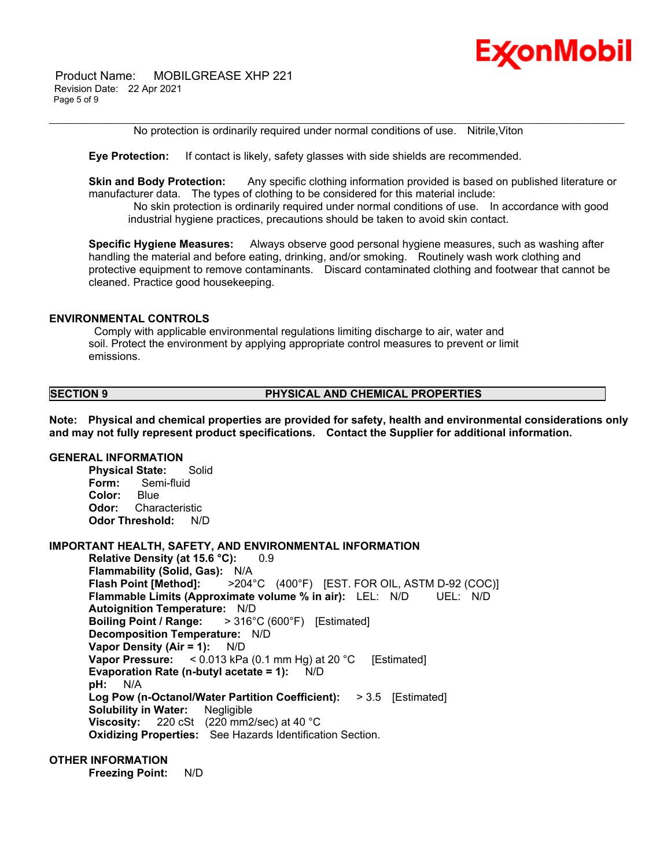Product Name: MOBILGREASE XHP 221 Revision Date: 22 Apr 2021 Page 5 of 9



\_\_\_\_\_\_\_\_\_\_\_\_\_\_\_\_\_\_\_\_\_\_\_\_\_\_\_\_\_\_\_\_\_\_\_\_\_\_\_\_\_\_\_\_\_\_\_\_\_\_\_\_\_\_\_\_\_\_\_\_\_\_\_\_\_\_\_\_\_\_\_\_\_\_\_\_\_\_\_\_\_\_\_\_\_\_\_\_\_\_\_\_\_\_\_\_\_\_\_\_\_\_\_\_\_\_\_\_\_\_\_\_\_\_\_\_\_\_ No protection is ordinarily required under normal conditions of use. Nitrile,Viton

**Eye Protection:** If contact is likely, safety glasses with side shields are recommended.

**Skin and Body Protection:** Any specific clothing information provided is based on published literature or manufacturer data. The types of clothing to be considered for this material include:

 No skin protection is ordinarily required under normal conditions of use. In accordance with good industrial hygiene practices, precautions should be taken to avoid skin contact.

**Specific Hygiene Measures:** Always observe good personal hygiene measures, such as washing after handling the material and before eating, drinking, and/or smoking. Routinely wash work clothing and protective equipment to remove contaminants. Discard contaminated clothing and footwear that cannot be cleaned. Practice good housekeeping.

#### **ENVIRONMENTAL CONTROLS**

 Comply with applicable environmental regulations limiting discharge to air, water and soil. Protect the environment by applying appropriate control measures to prevent or limit emissions.

### **SECTION 9 PHYSICAL AND CHEMICAL PROPERTIES**

**Note: Physical and chemical properties are provided for safety, health and environmental considerations only and may not fully represent product specifications. Contact the Supplier for additional information.**

#### **GENERAL INFORMATION**

**Physical State:** Solid **Form:** Semi-fluid **Color:** Blue **Odor:** Characteristic **Odor Threshold:** N/D

### **IMPORTANT HEALTH, SAFETY, AND ENVIRONMENTAL INFORMATION**

**Relative Density (at 15.6 °C):** 0.9 **Flammability (Solid, Gas):** N/A **Flash Point [Method]:** >204°C (400°F) [EST. FOR OIL, ASTM D-92 (COC)] **Flammable Limits (Approximate volume % in air):** LEL: N/D UEL: N/D **Autoignition Temperature:** N/D **Boiling Point / Range:** > 316°C (600°F) [Estimated] **Decomposition Temperature:** N/D **Vapor Density (Air = 1):** N/D **Vapor Pressure:** < 0.013 kPa (0.1 mm Hg) at 20 °C [Estimated] **Evaporation Rate (n-butyl acetate = 1):** N/D **pH:** N/A **Log Pow (n-Octanol/Water Partition Coefficient):** > 3.5 [Estimated] **Solubility in Water:** Negligible **Viscosity:** 220 cSt (220 mm2/sec) at 40 °C **Oxidizing Properties:** See Hazards Identification Section.

#### **OTHER INFORMATION**

**Freezing Point:** N/D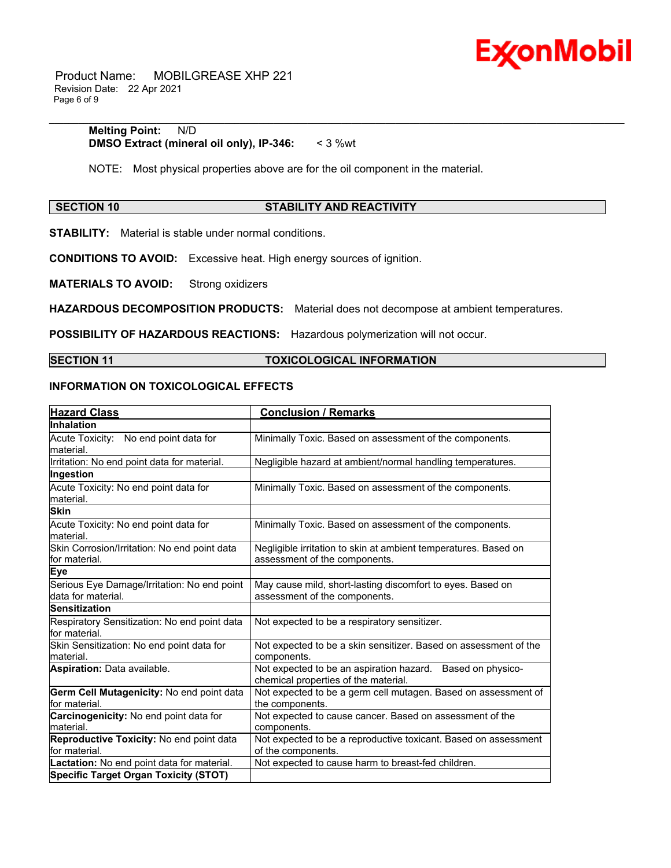

 Product Name: MOBILGREASE XHP 221 Revision Date: 22 Apr 2021 Page 6 of 9

#### **Melting Point:** N/D **DMSO Extract (mineral oil only), IP-346:** < 3 %wt

NOTE: Most physical properties above are for the oil component in the material.

#### **SECTION 10 STABILITY AND REACTIVITY**

\_\_\_\_\_\_\_\_\_\_\_\_\_\_\_\_\_\_\_\_\_\_\_\_\_\_\_\_\_\_\_\_\_\_\_\_\_\_\_\_\_\_\_\_\_\_\_\_\_\_\_\_\_\_\_\_\_\_\_\_\_\_\_\_\_\_\_\_\_\_\_\_\_\_\_\_\_\_\_\_\_\_\_\_\_\_\_\_\_\_\_\_\_\_\_\_\_\_\_\_\_\_\_\_\_\_\_\_\_\_\_\_\_\_\_\_\_\_

**STABILITY:** Material is stable under normal conditions.

**CONDITIONS TO AVOID:** Excessive heat. High energy sources of ignition.

**MATERIALS TO AVOID:** Strong oxidizers

**HAZARDOUS DECOMPOSITION PRODUCTS:** Material does not decompose at ambient temperatures.

**POSSIBILITY OF HAZARDOUS REACTIONS:** Hazardous polymerization will not occur.

### **SECTION 11 TOXICOLOGICAL INFORMATION**

#### **INFORMATION ON TOXICOLOGICAL EFFECTS**

| <b>Hazard Class</b>                                            | <b>Conclusion / Remarks</b>                                                                        |  |  |
|----------------------------------------------------------------|----------------------------------------------------------------------------------------------------|--|--|
| Inhalation                                                     |                                                                                                    |  |  |
| Acute Toxicity: No end point data for                          | Minimally Toxic. Based on assessment of the components.                                            |  |  |
| lmaterial.                                                     |                                                                                                    |  |  |
| Irritation: No end point data for material.                    | Negligible hazard at ambient/normal handling temperatures.                                         |  |  |
| Ingestion                                                      |                                                                                                    |  |  |
| Acute Toxicity: No end point data for<br>lmaterial.            | Minimally Toxic. Based on assessment of the components.                                            |  |  |
| <b>Skin</b>                                                    |                                                                                                    |  |  |
| Acute Toxicity: No end point data for<br>lmaterial.            | Minimally Toxic. Based on assessment of the components.                                            |  |  |
| Skin Corrosion/Irritation: No end point data<br>for material.  | Negligible irritation to skin at ambient temperatures. Based on<br>assessment of the components.   |  |  |
| Eye                                                            |                                                                                                    |  |  |
| Serious Eye Damage/Irritation: No end point                    | May cause mild, short-lasting discomfort to eyes. Based on                                         |  |  |
| data for material.                                             | assessment of the components.                                                                      |  |  |
| Sensitization                                                  |                                                                                                    |  |  |
| Respiratory Sensitization: No end point data<br>lfor material. | Not expected to be a respiratory sensitizer.                                                       |  |  |
| Skin Sensitization: No end point data for                      | Not expected to be a skin sensitizer. Based on assessment of the                                   |  |  |
| lmaterial.                                                     | components.                                                                                        |  |  |
| Aspiration: Data available.                                    | Not expected to be an aspiration hazard. Based on physico-<br>chemical properties of the material. |  |  |
| Germ Cell Mutagenicity: No end point data                      | Not expected to be a germ cell mutagen. Based on assessment of                                     |  |  |
| lfor material.                                                 | the components.                                                                                    |  |  |
| Carcinogenicity: No end point data for                         | Not expected to cause cancer. Based on assessment of the                                           |  |  |
| lmaterial.                                                     | components.                                                                                        |  |  |
| Reproductive Toxicity: No end point data                       | Not expected to be a reproductive toxicant. Based on assessment                                    |  |  |
| lfor material.                                                 | of the components.                                                                                 |  |  |
| Lactation: No end point data for material.                     | Not expected to cause harm to breast-fed children.                                                 |  |  |
| <b>Specific Target Organ Toxicity (STOT)</b>                   |                                                                                                    |  |  |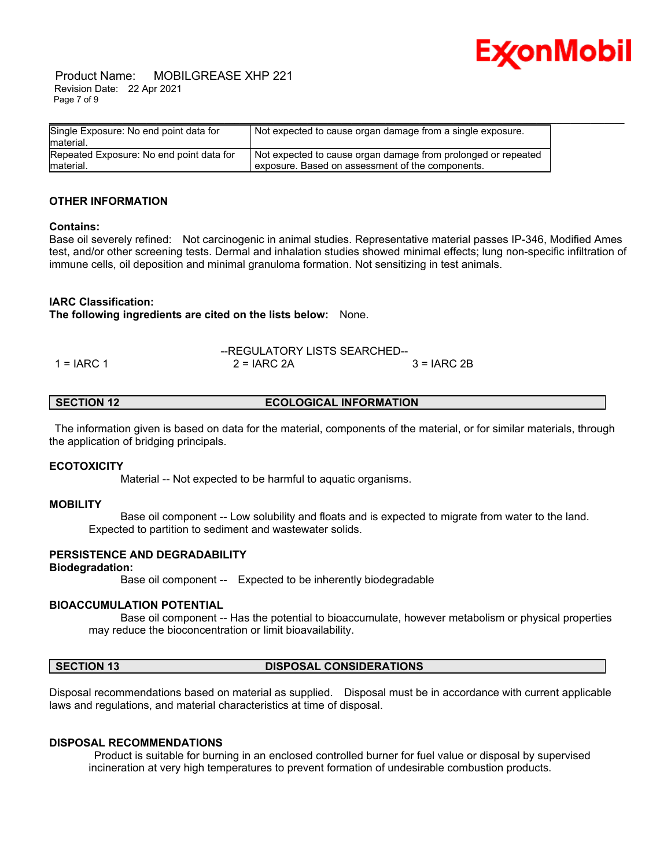

 Product Name: MOBILGREASE XHP 221 Revision Date: 22 Apr 2021 Page 7 of 9

| Single Exposure: No end point data for   | Not expected to cause organ damage from a single exposure.    |
|------------------------------------------|---------------------------------------------------------------|
| material.                                |                                                               |
| Repeated Exposure: No end point data for | Not expected to cause organ damage from prolonged or repeated |
| material.                                | exposure. Based on assessment of the components.              |

#### **OTHER INFORMATION**

#### **Contains:**

Base oil severely refined: Not carcinogenic in animal studies. Representative material passes IP-346, Modified Ames test, and/or other screening tests. Dermal and inhalation studies showed minimal effects; lung non-specific infiltration of immune cells, oil deposition and minimal granuloma formation. Not sensitizing in test animals.

#### **IARC Classification:**

**The following ingredients are cited on the lists below:** None.

|            | --REGULATORY LISTS SEARCHED-- |               |  |
|------------|-------------------------------|---------------|--|
| 1 = IARC 1 | $2 = IARC 2A$                 | $3 = IARC 2B$ |  |

**SECTION 12 ECOLOGICAL INFORMATION** 

 The information given is based on data for the material, components of the material, or for similar materials, through the application of bridging principals.

#### **ECOTOXICITY**

Material -- Not expected to be harmful to aquatic organisms.

#### **MOBILITY**

 Base oil component -- Low solubility and floats and is expected to migrate from water to the land. Expected to partition to sediment and wastewater solids.

#### **PERSISTENCE AND DEGRADABILITY**

#### **Biodegradation:**

Base oil component -- Expected to be inherently biodegradable

#### **BIOACCUMULATION POTENTIAL**

 Base oil component -- Has the potential to bioaccumulate, however metabolism or physical properties may reduce the bioconcentration or limit bioavailability.

#### **SECTION 13 DISPOSAL CONSIDERATIONS**

Disposal recommendations based on material as supplied. Disposal must be in accordance with current applicable laws and regulations, and material characteristics at time of disposal.

#### **DISPOSAL RECOMMENDATIONS**

 Product is suitable for burning in an enclosed controlled burner for fuel value or disposal by supervised incineration at very high temperatures to prevent formation of undesirable combustion products.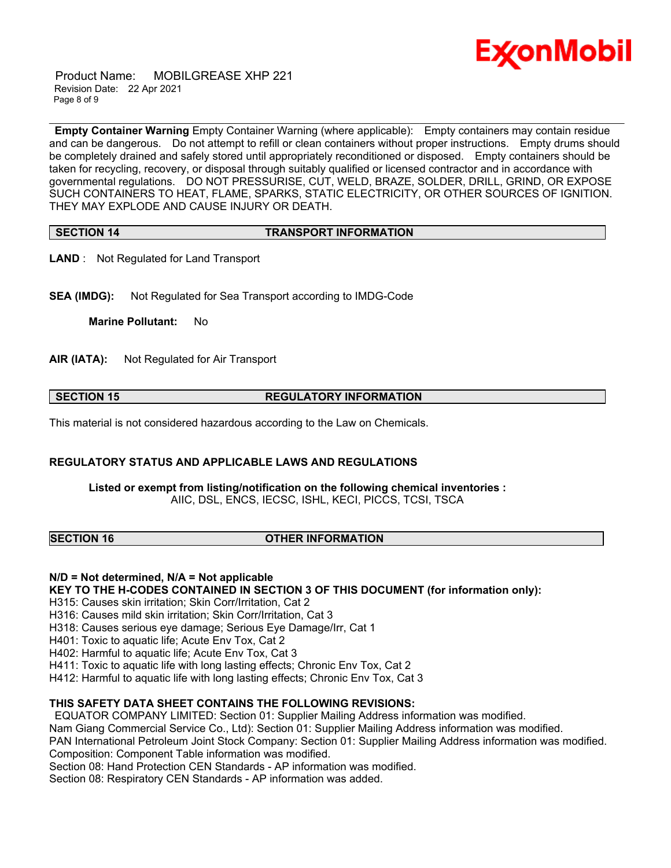

 Product Name: MOBILGREASE XHP 221 Revision Date: 22 Apr 2021 Page 8 of 9

\_\_\_\_\_\_\_\_\_\_\_\_\_\_\_\_\_\_\_\_\_\_\_\_\_\_\_\_\_\_\_\_\_\_\_\_\_\_\_\_\_\_\_\_\_\_\_\_\_\_\_\_\_\_\_\_\_\_\_\_\_\_\_\_\_\_\_\_\_\_\_\_\_\_\_\_\_\_\_\_\_\_\_\_\_\_\_\_\_\_\_\_\_\_\_\_\_\_\_\_\_\_\_\_\_\_\_\_\_\_\_\_\_\_\_\_\_\_ **Empty Container Warning** Empty Container Warning (where applicable): Empty containers may contain residue and can be dangerous. Do not attempt to refill or clean containers without proper instructions. Empty drums should be completely drained and safely stored until appropriately reconditioned or disposed. Empty containers should be taken for recycling, recovery, or disposal through suitably qualified or licensed contractor and in accordance with governmental regulations. DO NOT PRESSURISE, CUT, WELD, BRAZE, SOLDER, DRILL, GRIND, OR EXPOSE SUCH CONTAINERS TO HEAT, FLAME, SPARKS, STATIC ELECTRICITY, OR OTHER SOURCES OF IGNITION. THEY MAY EXPLODE AND CAUSE INJURY OR DEATH.

#### **SECTION 14 TRANSPORT INFORMATION**

**LAND** : Not Regulated for Land Transport

**SEA (IMDG):** Not Regulated for Sea Transport according to IMDG-Code

**Marine Pollutant:** No

**AIR (IATA):** Not Regulated for Air Transport

#### **SECTION 15 REGULATORY INFORMATION**

This material is not considered hazardous according to the Law on Chemicals.

#### **REGULATORY STATUS AND APPLICABLE LAWS AND REGULATIONS**

**Listed or exempt from listing/notification on the following chemical inventories :**  AIIC, DSL, ENCS, IECSC, ISHL, KECI, PICCS, TCSI, TSCA

#### **SECTION 16 OTHER INFORMATION**

### **N/D = Not determined, N/A = Not applicable**

**KEY TO THE H-CODES CONTAINED IN SECTION 3 OF THIS DOCUMENT (for information only):**

H315: Causes skin irritation; Skin Corr/Irritation, Cat 2

H316: Causes mild skin irritation; Skin Corr/Irritation, Cat 3

H318: Causes serious eye damage; Serious Eye Damage/Irr, Cat 1

H401: Toxic to aquatic life; Acute Env Tox, Cat 2

H402: Harmful to aquatic life; Acute Env Tox, Cat 3

H411: Toxic to aquatic life with long lasting effects; Chronic Env Tox, Cat 2

H412: Harmful to aquatic life with long lasting effects; Chronic Env Tox, Cat 3

#### **THIS SAFETY DATA SHEET CONTAINS THE FOLLOWING REVISIONS:**

EQUATOR COMPANY LIMITED: Section 01: Supplier Mailing Address information was modified.

Nam Giang Commercial Service Co., Ltd): Section 01: Supplier Mailing Address information was modified.

PAN International Petroleum Joint Stock Company: Section 01: Supplier Mailing Address information was modified. Composition: Component Table information was modified.

Section 08: Hand Protection CEN Standards - AP information was modified.

Section 08: Respiratory CEN Standards - AP information was added.